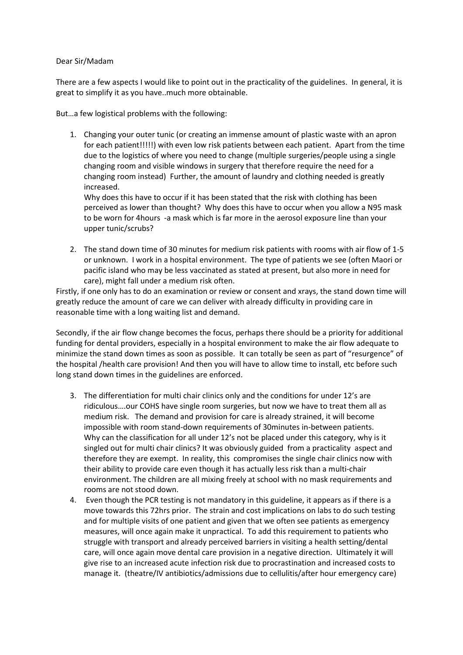## Dear Sir/Madam

There are a few aspects I would like to point out in the practicality of the guidelines. In general, it is great to simplify it as you have..much more obtainable.

But…a few logistical problems with the following:

1. Changing your outer tunic (or creating an immense amount of plastic waste with an apron for each patient!!!!!) with even low risk patients between each patient. Apart from the time due to the logistics of where you need to change (multiple surgeries/people using a single changing room and visible windows in surgery that therefore require the need for a changing room instead) Further, the amount of laundry and clothing needed is greatly increased.

Why does this have to occur if it has been stated that the risk with clothing has been perceived as lower than thought? Why does this have to occur when you allow a N95 mask to be worn for 4hours -a mask which is far more in the aerosol exposure line than your upper tunic/scrubs?

2. The stand down time of 30 minutes for medium risk patients with rooms with air flow of 1-5 or unknown. I work in a hospital environment. The type of patients we see (often Maori or pacific island who may be less vaccinated as stated at present, but also more in need for care), might fall under a medium risk often.

Firstly, if one only has to do an examination or review or consent and xrays, the stand down time will greatly reduce the amount of care we can deliver with already difficulty in providing care in reasonable time with a long waiting list and demand.

Secondly, if the air flow change becomes the focus, perhaps there should be a priority for additional funding for dental providers, especially in a hospital environment to make the air flow adequate to minimize the stand down times as soon as possible. It can totally be seen as part of "resurgence" of the hospital /health care provision! And then you will have to allow time to install, etc before such long stand down times in the guidelines are enforced.

- 3. The differentiation for multi chair clinics only and the conditions for under 12's are ridiculous….our COHS have single room surgeries, but now we have to treat them all as medium risk. The demand and provision for care is already strained, it will become impossible with room stand-down requirements of 30minutes in-between patients. Why can the classification for all under 12's not be placed under this category, why is it singled out for multi chair clinics? It was obviously guided from a practicality aspect and therefore they are exempt. In reality, this compromises the single chair clinics now with their ability to provide care even though it has actually less risk than a multi-chair environment. The children are all mixing freely at school with no mask requirements and rooms are not stood down.
- 4. Even though the PCR testing is not mandatory in this guideline, it appears as if there is a move towards this 72hrs prior. The strain and cost implications on labs to do such testing and for multiple visits of one patient and given that we often see patients as emergency measures, will once again make it unpractical. To add this requirement to patients who struggle with transport and already perceived barriers in visiting a health setting/dental care, will once again move dental care provision in a negative direction. Ultimately it will give rise to an increased acute infection risk due to procrastination and increased costs to manage it. (theatre/IV antibiotics/admissions due to cellulitis/after hour emergency care)